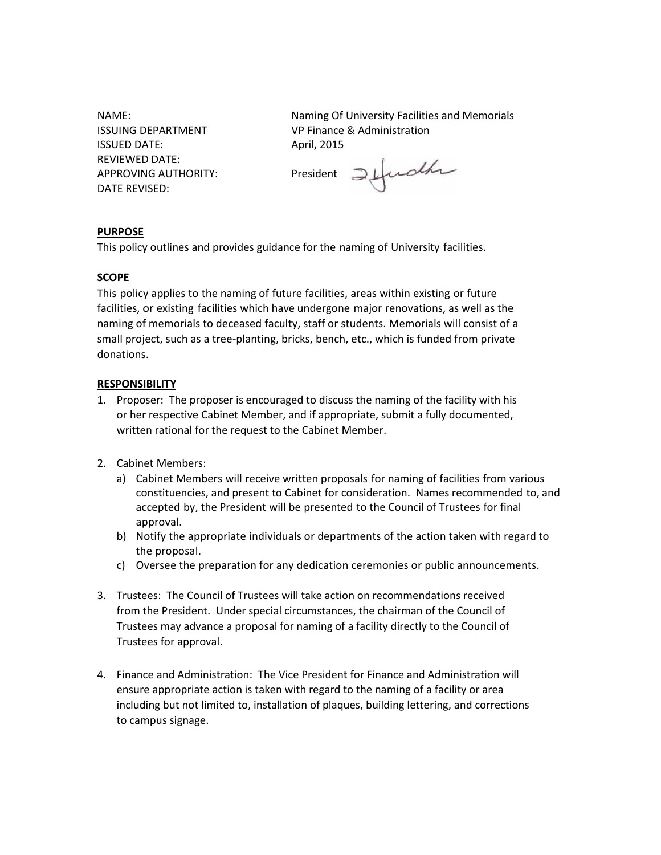ISSUED DATE: April, 2015 REVIEWED DATE: DATE REVISED:

NAME: Naming Of University Facilities and Memorials ISSUING DEPARTMENT VP Finance & Administration

APPROVING AUTHORITY:<br>APPROVING AUTHORITY: President Jefudla

# **PURPOSE**

This policy outlines and provides guidance for the naming of University facilities.

### **SCOPE**

This policy applies to the naming of future facilities, areas within existing or future facilities, or existing facilities which have undergone major renovations, as well as the naming of memorials to deceased faculty, staff or students. Memorials will consist of a small project, such as a tree-planting, bricks, bench, etc., which is funded from private donations.

#### **RESPONSIBILITY**

- 1. Proposer: The proposer is encouraged to discuss the naming of the facility with his or her respective Cabinet Member, and if appropriate, submit a fully documented, written rational for the request to the Cabinet Member.
- 2. Cabinet Members:
	- a) Cabinet Members will receive written proposals for naming of facilities from various constituencies, and present to Cabinet for consideration. Names recommended to, and accepted by, the President will be presented to the Council of Trustees for final approval.
	- b) Notify the appropriate individuals or departments of the action taken with regard to the proposal.
	- c) Oversee the preparation for any dedication ceremonies or public announcements.
- 3. Trustees: The Council of Trustees will take action on recommendations received from the President. Under special circumstances, the chairman of the Council of Trustees may advance a proposal for naming of a facility directly to the Council of Trustees for approval.
- 4. Finance and Administration: The Vice President for Finance and Administration will ensure appropriate action is taken with regard to the naming of a facility or area including but not limited to, installation of plaques, building lettering, and corrections to campus signage.